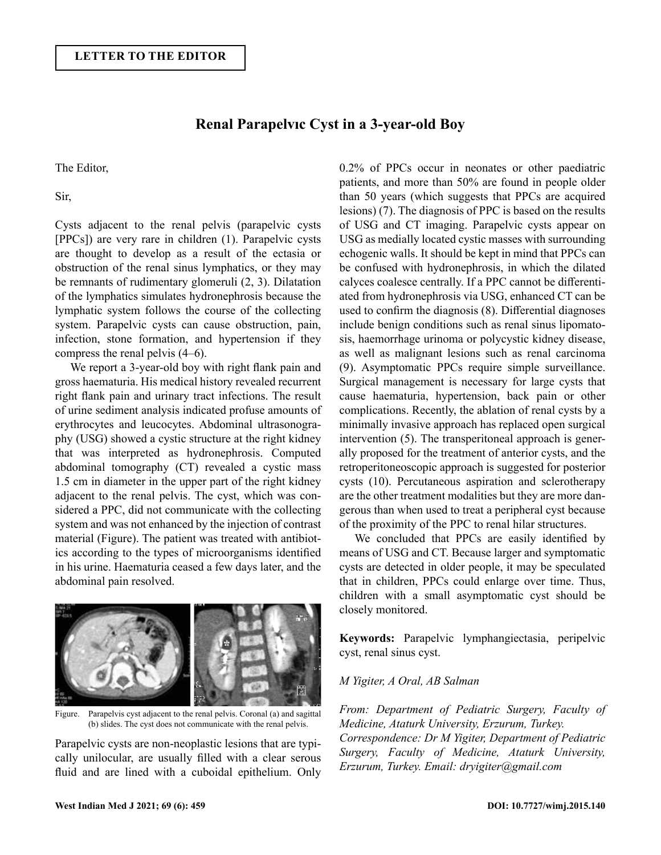## **Renal Parapelvıc Cyst in a 3-year-old Boy**

The Editor,

Sir,

Cysts adjacent to the renal pelvis (parapelvic cysts [PPCs]) are very rare in children (1). Parapelvic cysts are thought to develop as a result of the ectasia or obstruction of the renal sinus lymphatics, or they may be remnants of rudimentary glomeruli (2, 3). Dilatation of the lymphatics simulates hydronephrosis because the lymphatic system follows the course of the collecting system. Parapelvic cysts can cause obstruction, pain, infection, stone formation, and hypertension if they compress the renal pelvis (4–6).

We report a 3-year-old boy with right flank pain and gross haematuria. His medical history revealed recurrent right flank pain and urinary tract infections. The result of urine sediment analysis indicated profuse amounts of erythrocytes and leucocytes. Abdominal ultrasonography (USG) showed a cystic structure at the right kidney that was interpreted as hydronephrosis. Computed abdominal tomography (CT) revealed a cystic mass 1.5 cm in diameter in the upper part of the right kidney adjacent to the renal pelvis. The cyst, which was considered a PPC, did not communicate with the collecting system and was not enhanced by the injection of contrast material (Figure). The patient was treated with antibiotics according to the types of microorganisms identified in his urine. Haematuria ceased a few days later, and the abdominal pain resolved.



Figure. Parapelvis cyst adjacent to the renal pelvis. Coronal (a) and sagittal (b) slides. The cyst does not communicate with the renal pelvis.

Parapelvic cysts are non-neoplastic lesions that are typically unilocular, are usually filled with a clear serous fluid and are lined with a cuboidal epithelium. Only 0.2% of PPCs occur in neonates or other paediatric patients, and more than 50% are found in people older than 50 years (which suggests that PPCs are acquired lesions) (7). The diagnosis of PPC is based on the results of USG and CT imaging. Parapelvic cysts appear on USG as medially located cystic masses with surrounding echogenic walls. It should be kept in mind that PPCs can be confused with hydronephrosis, in which the dilated calyces coalesce centrally. If a PPC cannot be differentiated from hydronephrosis via USG, enhanced CT can be used to confirm the diagnosis (8). Differential diagnoses include benign conditions such as renal sinus lipomatosis, haemorrhage urinoma or polycystic kidney disease, as well as malignant lesions such as renal carcinoma (9). Asymptomatic PPCs require simple surveillance. Surgical management is necessary for large cysts that cause haematuria, hypertension, back pain or other complications. Recently, the ablation of renal cysts by a minimally invasive approach has replaced open surgical intervention (5). The transperitoneal approach is generally proposed for the treatment of anterior cysts, and the retroperitoneoscopic approach is suggested for posterior cysts (10). Percutaneous aspiration and sclerotherapy are the other treatment modalities but they are more dangerous than when used to treat a peripheral cyst because of the proximity of the PPC to renal hilar structures.

We concluded that PPCs are easily identified by means of USG and CT. Because larger and symptomatic cysts are detected in older people, it may be speculated that in children, PPCs could enlarge over time. Thus, children with a small asymptomatic cyst should be closely monitored.

**Keywords:** Parapelvic lymphangiectasia, peripelvic cyst, renal sinus cyst.

## *M Yigiter, A Oral, AB Salman*

*From: Department of Pediatric Surgery, Faculty of Medicine, Ataturk University, Erzurum, Turkey. Correspondence: Dr M Yigiter, Department of Pediatric Surgery, Faculty of Medicine, Ataturk University, Erzurum, Turkey. Email: dryigiter@gmail.com*